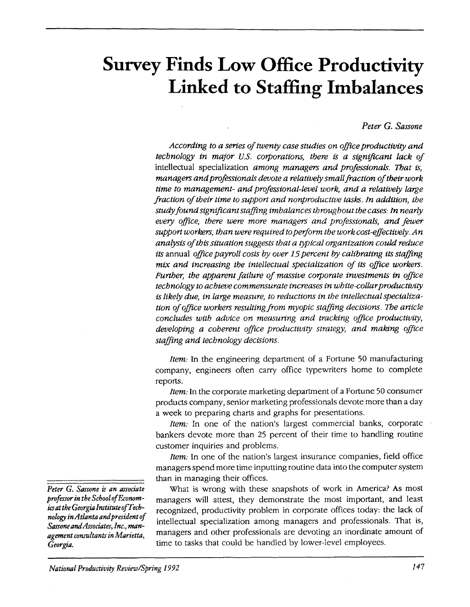# **Survey Finds Low Office Productivity Linked to Staffing Imbalances**

### *Peter* **G.** *Sassone*

*According to a series of twenty case studies on officeproductivity and technology In major US. corporations, there* **1s** *a significant lack of*  intellectual specialization *among managers and professionals. That is, managen and professionals devote a relatively smallfvaction of their work time to management- and professional-leuel work, and a relatively large fraction of their time to support and nonproductive tasks. In addition, the study found significant staffing imbalances throughout the cases: In nearb euey office, there were more managers and pmfessionak, and fewer*  support workers, than were required to perform the work cost-effectively. An *analysis of this situation suggests that a typical organization could reduce its annual office payroll costs by over 15 percent by calibrating its staffing mix and increasing the intellectual specialization of its oflice workers.*  Further, the apparent failure of massive corporate investments in office *technology to achieve commensurate increases in white-collarproductivity*  is likely due, in large measure, to reductions in the intellectual specializa*tion of office workers resulting from myopic staffing decisions. The article concludes with advice on measuring and tracking office productivity,*  developing a coherent office productivity strategy, and making office *staffing and technology declsions.* 

*Item:* In the engineering department of a Fortune 50 manufacturing company, engineers often carry office typewriters home to complete reports.

*Item:* In the corporate marketing department of a Fortune 50 consumer products company, senior marketing professionals devote more than a day a week to preparing charts and graphs for presentations.

*Item:* In one of the nation's largest commercial banks, corporate bankers devote more than 25 percent of their time to handling routine customer inquiries and problems.

*Item:* In one of the nation's largest insurance companies, field office managers spend more time inputting routine data into the computer system than in managing their offices.

What is wrong with these snapshots of work in America? **As** most managers will attest, they demonstrate the most important, and least recognized, productivity problem in corporate offices today: the lack of intellectual specialization among managers and professionals. That is, managers and other professionals are devoting an inordinate amount of time to tasks that could be handled by lower-level employees.

*Peter G. Sassone* **i~** *an associate professor in the School of Econom*ics at the Georgia Institute of Tech*nokgy in Atlanta andpresident of*  Sassone and Associates, Inc., man*agement consultants in Marietta*, *Georgia.*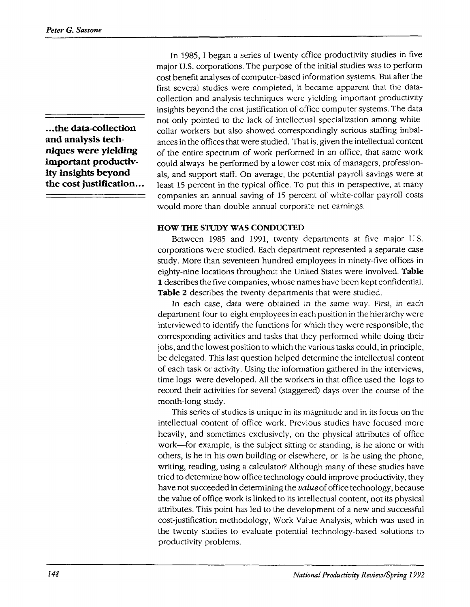... **the data-collection and analysis technfques were yielding important productivity insights beyond the cost justification...** 

In 1985, I began a series of twenty office productivity studies in five major U.S. corporations. The purpose of the initial studies was to perform cost benefit analyses of computer-based information systems. But after the first several studies were completed, it became apparent that the datacollection and analysis techniques were yielding important productivity insights beyond the cost justification of office computer systems. The data not only pointed to the lack of intellectual specialization among whitecollar workers but also showed correspondingly serious staffing imbalances in the offices that were studied. That is, given the intellectual content of the entire spectrum of work performed in an office, that same work could always be performed by a lower cost mix of managers, professionals, and support staff. On average, the potential payroll savings were at least 15 percent in the typical office. To put this in perspective, at many companies an annual saving of 15 percent of white-collar payroll costs would more than double annual corporate net earnings.

### **HOW THE STUDY WAS CONDUCTED**

Between 1985 and 1991, twenty departments at five major U.S. corporations were studied. Each department represented a separate case study. More than seventeen hundred employees in ninety-five offices in eighty-nine locations throughout the United States were involved. **Table 1** describes the five companies, whose names have been kept confidential. **Table 2** describes the twenty departments that were studied.

In each case, data were obtained in the same way. First, in each department four to eight employees in each position in the hierarchy were interviewed to identify the functions for which they were responsible, the corresponding activities and tasks that they performed while doing their jobs, and the lowest position to which the various tasks could, in principle, be delegated. This last question helped determine the intellectual content of each task or activity. Using the information gathered in the interviews, time logs were developed. All the workers in that office used the logs to record their activities for several (staggered) days over the course of the month-long study.

This series of studies is unique in its magnitude and in its focus on the intellectual content of office work. Previous studies have focused more heavily, and sometimes exclusively, on the physical attributes of office work-for example, is the subject sitting or standing, is he alone or with others, is he in his own building or elsewhere, or is he using the phone, writing, reading, using a calculator? Although many of these studies have tried to determine how office technology could improve productivity, they have not succeeded in determining the *value* of office technology, because the value of office work is linked to its intellectual content, not its physical attributes. This point has led to the development of a new and successful cost-justification methodology, Work Value Analysis, which was used in the twenty studies to evaluate potential technology-based solutions to productivity problems.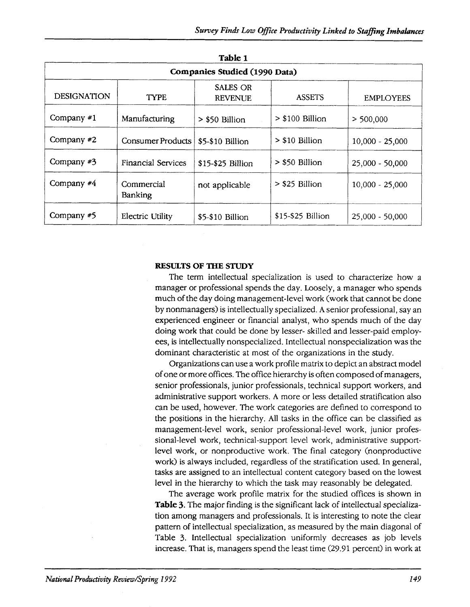| Table 1<br>Companies Studied (1990 Data) |                           |                   |                   |                   |  |  |  |
|------------------------------------------|---------------------------|-------------------|-------------------|-------------------|--|--|--|
|                                          |                           |                   |                   |                   |  |  |  |
| Company $*1$                             | Manufacturing             | $> $50$ Billion   | $> $100$ Billion  | $>$ 500,000       |  |  |  |
| Company $*2$                             | Consumer Products         | \$5-\$10 Billion  | $> $10$ Billion   | $10,000 - 25,000$ |  |  |  |
| Company $#3$                             | <b>Financial Services</b> | \$15-\$25 Billion | > \$50 Billion    | $25,000 - 50,000$ |  |  |  |
| Company $#4$                             | Commercial<br>Banking     | not applicable    | > \$25 Billion    | $10,000 - 25,000$ |  |  |  |
| Company $#5$<br>Electric Utility         |                           | \$5-\$10 Billion  | \$15-\$25 Billion | $25,000 - 50,000$ |  |  |  |

## **RESULTS OF THE STUDY**

The term intellectual specialization is used to characterize how a manager or professional spends the day. Loosely, a manager who spends much of the day doing management-level work (work that cannot be done by nonmanagers) is intellectually specialized. **A** senior professional, say an experienced engineer or financial analyst, who spends much of the day doing work that could be done by lesser- skilled and lesser-paid employees, is intellectually nonspecialized. Intellectual nonspecialization was the dominant characteristic at most of the organizations in the study.

Organizations can use a work profile matrix to depict an abstract model of one or more offices. The office hierarchy is often composed of managers, senior professionals, junior professionals, technical support workers, and administrative support workers. A more or less detailed stratification also can be used, however. The work categories are defined to correspond to the positions in the hierarchy, **All** tasks in the office can be classified as management-level work, senior professional-level work, junior professional-level work, technical-support level work, administrative supportlevel work, or nonproductive work. The final category (nonproductive work) is always included, regardless of the stratification used. In general, tasks are assigned to an intellectual content category based on the lowest level in the hierarchy to which the task may reasonably be delegated.

The average work profile matrix for the studied offices is shown in **Table 3.** The major finding is the significant lack of intellectual specialization among managers and professionals. It is interesting to note the clear pattern of intellectual specialization, as measured by the main diagonal of Table **3.** Intellectual specialization uniformly decreases as job levels increase. That is, managers spend the least time (29.91 percent) in work at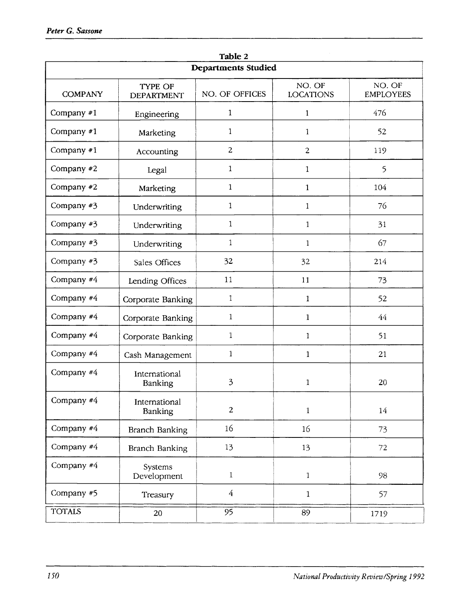| Table 2<br><b>Departments Studied</b> |                                 |                |                |      |  |  |  |
|---------------------------------------|---------------------------------|----------------|----------------|------|--|--|--|
|                                       |                                 |                |                |      |  |  |  |
| Company #1                            | Engineering                     | $\mathbf{1}$   | $\mathbf{1}$   | 476  |  |  |  |
| Company #1                            | Marketing                       | 1              | $\mathbf{1}$   | 52   |  |  |  |
| Company #1                            | Accounting                      | $\overline{2}$ | $\overline{c}$ | 119  |  |  |  |
| Company #2                            | Legal                           | 1              | $\mathbf{1}$   | 5    |  |  |  |
| Company #2                            | Marketing                       | $\mathbf{1}$   | $\mathbf{1}$   | 104  |  |  |  |
| Company #3                            | Underwriting                    | $\mathbf{1}$   | $\mathbf{1}$   | 76   |  |  |  |
| Company #3                            | Underwriting                    | $\mathbf 1$    | 1              | 31   |  |  |  |
| Company #3                            | Underwriting                    | 1              | 1              | 67   |  |  |  |
| Company #3                            | Sales Offices                   | 32             | 32             | 214  |  |  |  |
| Company #4                            | Lending Offices                 | 11             | 11             | 73   |  |  |  |
| Company #4                            | Corporate Banking               | $\mathbf{1}$   | $\mathbf{1}$   | 52   |  |  |  |
| Company #4                            | Corporate Banking               | $\mathbf{1}$   | $\mathbf{1}$   | 44   |  |  |  |
| Company #4                            | Corporate Banking               | 1              | 1              | 51   |  |  |  |
| Company #4                            | Cash Management                 | 1              | $\mathbf{1}$   | 21   |  |  |  |
| Company #4                            | International<br>Banking        | 3              | $\mathbf{1}$   | 20   |  |  |  |
| Company #4                            | International<br><b>Banking</b> | $\overline{c}$ | $\mathbf{1}$   | 14   |  |  |  |
| Company #4                            | Branch Banking                  | 16             | 16             | 73   |  |  |  |
| Company #4                            | Branch Banking                  | 13             | 13             | 72   |  |  |  |
| Company #4                            | Systems<br>Development          | $1\,$          | $\mathbf{1}$   | 98   |  |  |  |
| Company #5                            | Treasury                        | $\overline{4}$ | $\mathbf{1}$   | 57   |  |  |  |
| <b>TOTALS</b>                         | 20                              | 95             | 89             | 1719 |  |  |  |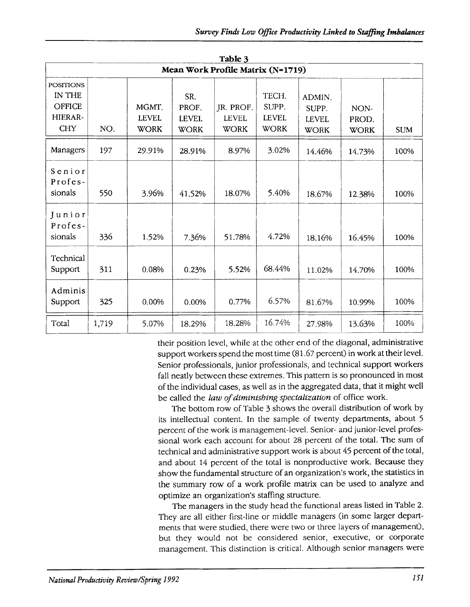|                                                                      |       |                                      |                                             | Table 3                                  |                                               |                                                |                              |            |
|----------------------------------------------------------------------|-------|--------------------------------------|---------------------------------------------|------------------------------------------|-----------------------------------------------|------------------------------------------------|------------------------------|------------|
| Mean Work Profile Matrix (N=1719)                                    |       |                                      |                                             |                                          |                                               |                                                |                              |            |
| <b>POSITIONS</b><br>IN THE<br><b>OFFICE</b><br>HIERAR-<br><b>CHY</b> | NO.   | MGMT.<br><b>LEVEL</b><br><b>WORK</b> | SR.<br>PROF.<br><b>LEVEL</b><br><b>WORK</b> | JR. PROF.<br><b>LEVEL</b><br><b>WORK</b> | TECH.<br>SUPP.<br><b>LEVEL</b><br><b>WORK</b> | ADMIN.<br>SUPP.<br><b>LEVEL</b><br><b>WORK</b> | NON-<br>PROD.<br><b>WORK</b> | <b>SUM</b> |
| Managers                                                             | 197   | 29.91%                               | 28.91%                                      | 8.97%                                    | 3.02%                                         | 14.46%                                         | 14.73%                       | 100%       |
| Senior<br>Profes-<br>sionals                                         | 550   | 3.96%                                | 41.52%                                      | 18.07%                                   | 5.40%                                         | 18.67%                                         | 12.38%                       | 100%       |
| Junior<br>Profes-<br>sionals                                         | 336   | 1.52%                                | 7.36%                                       | 51.78%                                   | 4.72%                                         | 18.16%                                         | 16.45%                       | 100%       |
| Technical<br>Support                                                 | 311   | 0.08%                                | 0.23%                                       | 5.52%                                    | 68.44%                                        | 11.02%                                         | 14.70%                       | 100%       |
| Adminis<br>Support                                                   | 325   | 0.00%                                | 0.00%                                       | 0.77%                                    | 6.57%                                         | 81.67%                                         | 10.99%                       | 100%       |
| Total                                                                | 1,719 | 5.07%                                | 18.29%                                      | 18.28%                                   | 16.74%                                        | 27.98%                                         | 13.63%                       | 100%       |

their position level, while at the other end of the diagonal, administrative support workers spend the most time *(81.67* percent) in work at their level. Senior professionals, junior professionals, and technical support workers fall neatly between these extremes. This pattern is so pronounced in most of the individual cases, as well as in the aggregated data, that it might well be called the *law of diminishing specialization* of office work.

The bottom row of Table *3* shows the overall distribution of work by its intellectual content. In the sample of twenty departments, about *5*  percent of the work is management-level. Senior- and junior-level professional work each account for about *28* percent of the total. The sum of technical and administrative support work is about *45* percent of the total, and about *14* percent of the total is nonproductive work. Because they show the fundamental structure of an organization's work, the statistics in the summary row of a work profile matrix can be used to analyze and optimize an organization's staffing structure.

The managers in the study head the functional areas listed in Table *2.*  They are all either first-line or middle managers (in some larger departments that were studied, there were two or three layers of management), but they would not be considered senior, executive, or corporate management. This distinction is critical. Although senior managers were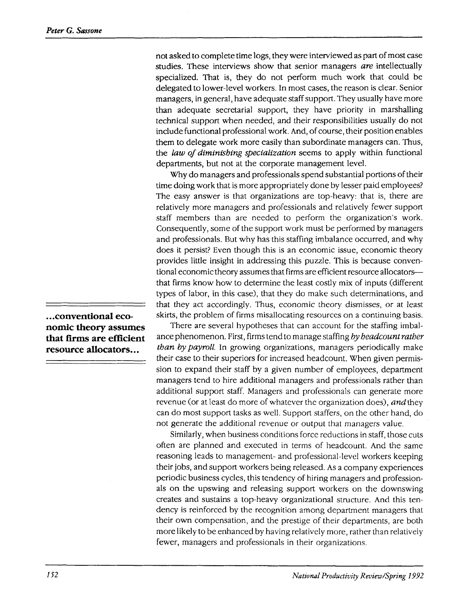not asked to complete time logs, they were interviewed as part of most case studies. These interviews show that senior managers *are* intellectually specialized. That is, they do not perform much work that could be delegated to lower-level workers. In most cases, the reason is clear. Senior managers, in general, have adequate staff support. They usually have more than adequate secretarial support, they have priority in marshalling technical support when needed, and their responsibilities usually do not include functional professional work. And, of course, their position enables them to delegate work more easily than subordinate managers can. Thus, the *law of diminishing specialization* seems to apply within functional departments, but not at the corporate management level.

Why do managers and professionals spend substantial portions of their time doing work that is more appropriately done by lesser paid employees? The easy answer is that organizations are top-heavy: that is, there are relatively more managers and professionals and relatively fewer support staff members than are needed to perform the organization's work. Consequently, some of the support work must be performed by managers and professionals. But why has this staffing imbalance occurred, and why does it persist? Even though this is an economic issue, economic theory provides little insight in addressing this puzzle. This is because conventional economic theory assumes that firms are efficient resource allocatorsthat firms know how to determine the least costly mix of inputs (different types of labor, in this case), that they do make such determinations, and that they act accordingly. Thus, economic theory dismisses, or at least skirts, the problem of firms misallocating resources on a continuing basis.

There are several hypotheses that can account for the staffing imbalance phenomenon. First, firms tend to manage staffing *by headcount rather than by payroll.* In growing organizations, managers periodically make their case to their superiors for increased headcount. When given permission to expand their staff by a given number of employees, department managers tend to hire additional managers and professionals rather than additional support staff. Managers and professionals can generate more revenue (or at least do more of whatever the organization does), *and* they can do most support tasks as well. Support staffers, on the other hand, do not generate the additional revenue or output that managers value.

Similarly, when business conditions force reductions in staff, those cuts often are planned and executed in terms of headcount. And the same reasoning leads to management- and professional-level workers keeping their jobs, and support workers being released. As a company experiences periodic business cycles, this tendency of hiring managers and professionals on the upswing and releasing support workers on the downswing creates and sustains a top-heavy organizational structure. And this tendency is reinforced by the recognition among department managers that their own compensation, and the prestige of their departments, are both more likely to be enhanced by having relatively more, rather than relatively fewer, managers and professionals in their organizations.

. **..conventional economic theory assumes that firms are efficient resource allocators..** .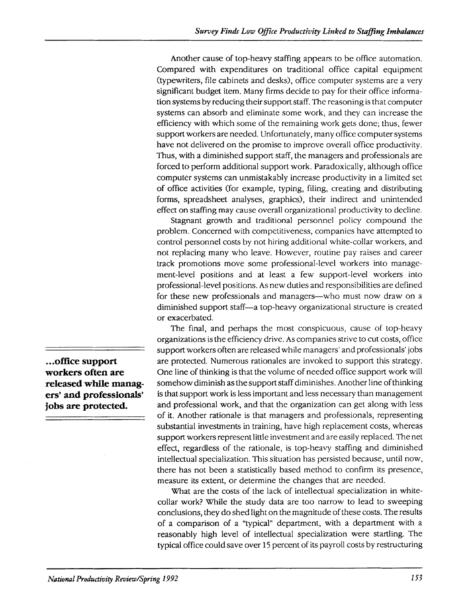Another cause of top-heavy staffing appears to be office automation. Compared with expenditures on traditional office capital equipment (typewriters, file cabinets and desks), office computer systems are a very significant budget item. Many firms decide to pay for their office information systems by reducing their support staff. The reasoning is that computer systems can absorb and eliminate some work, and they can increase the efficiency with which some of the remaining work gets done; thus, fewer support workers are needed. Unfortunately, many office computer systems have not delivered on the promise to improve overall office productivity. Thus, with a diminished support staff, the managers and professionals are forced to perform additional support work. Paradoxically, although office computer systems can unmistakably increase productivity in a limited set of office activities (for example, typing, filing, creating and distributing forms, spreadsheet analyses, graphics), their indirect and unintended effect on staffing may cause overall organizational productivity to decline.

Stagnant growth and traditional personnel policy compound the problem. Concerned with competitiveness, companies have attempted to control personnel costs by not hiring additional white-collar workers, and not replacing many who leave. However, routine pay raises and career track promotions move some professional-level workers into management-level positions and at least a few support-level workers into professional-level positions. **As** new duties and responsibilities are defined for these new professionals and managers-who must now draw on a diminished support staff—a top-heavy organizational structure is created or exacerbated.

The final, and perhaps the most conspicuous, cause of top-heavy organizations is the efficiency drive. As companies strive to cut costs, office support workers often are released while managers' and professionals' jobs are protected. Numerous rationales are invoked to support this strategy. One line of thinking is that the volume of needed office support work will somehow diminish as the support staff diminishes. Another line of thinking is that support work is less important and less necessary than management and professional work, and that the organization can get along with less of it. Another rationale is that managers and professionals, representing substantial investments in training, have high replacement costs, whereas support workers represent little investment and are easily replaced. The net effect, regardless of the rationale, is top-heavy staffing and diminished intellectual specialization. This situation has persisted because, until now, there has not been a statistically based method to confirm its presence, measure its extent, or determine the changes that are needed.

What are the costs of the lack of intellectual specialization in whitecollar work? While the study data are too narrow to lead to sweeping conclusions, they do shed light on the magnitude of these costs. The results of a comparison of a "typical" department, with a department with a reasonably high level of intellectual specialization were startling. The typical office could save over 15 percent of its payroll costs by restructuring

... **office support workers often are released while managers' and professionals' jobs are protected.**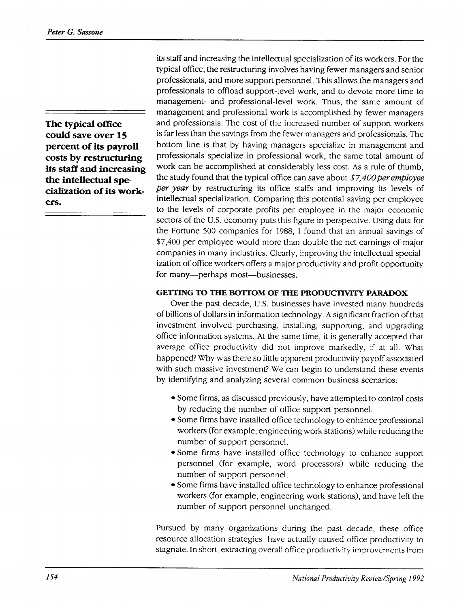**The typical office could save over 15 percent of its payroll costs by restructuring its staff and increasing the intellectual specialization of its workers.** 

its staff and increasing the intellectual specialization of its workers. For the typical office, the restructuring involves having fewer managers and senior professionals, and more support personnel. This allows the managers and professionals to offload support-level work, and to devote more time to management- and professional-level work. Thus, the same amount of management and professional work is accomplished by fewer managers and professionals. The cost of the increased number of support workers is far less than the savings from the fewer managers and professionals. The bottom line is that by having managers specialize in management and professionals specialize in professional work, the same total amount of work can be accomplished at considerably less cost. **As** a rule of thumb, the study found that the typical office can save about *\$7,40Operemployee per year* by restructuring its office staffs and improving its levels of intellectual specialization. Comparing this potential saving per employee to the levels of corporate profits per employee in the major economic sectors of the U.S. economy puts this figure in perspective. Using data for the Fortune 500 companies for 1988, I found that an annual savings of *\$7,400* per employee would more than double the net earnings of major companies in many industries. Clearly, improving the intellectual specialization of office workers offers a major productivity and profit opportunity for many-perhaps most--businesses.

# **GETTING TO** THE **BOTTOM OF** THE **PRODUCTIVITY PARADOX**

Over the past decade, U.S. businesses have invested many hundreds of billions of dollars in information technology. **A** significant fraction of that investment involved purchasing, installing, supporting, and upgrading office information systems. At the same time, it is generaIly accepted that average office productivity did not improve markedly, if at all. What happened? Why was there so little apparent productivity payoff associated with such massive investment? We can begin to understand these events by identifying and analyzing several common business scenarios:

- Some firms, as discussed previously, have attempted to control costs by reducing the number of office support personnel.
- Some firms have installed office technology to enhance professional workers (for example, engineering work stations) while reducing the number of support personnel.
- Some firms have installed office technology to enhance support personnel (for example, word processors) while reducing the number of support personnel.
- Some firms have installed office technology to enhance professional workers (for example, engineering work stations), and have left the number of support personnel unchanged.

Pursued by many organizations during the past decade, these office resource allocation strategies have actually caused office productivity to stagnate. In short, extracting overall office productivity improvements from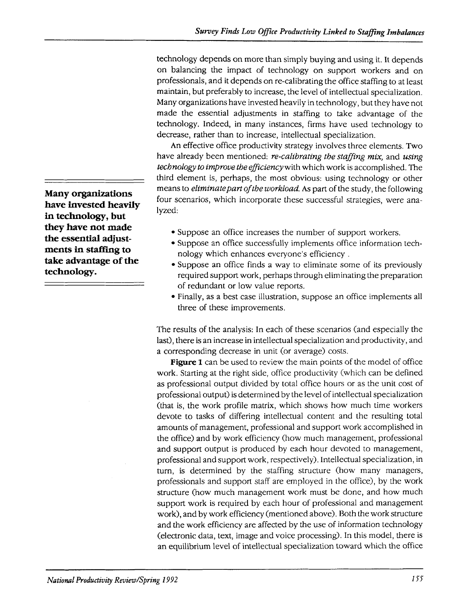technology depends on more than simply buying and using it. It depends on balancing the impact of technology on support workers and on professionals, and it depends on re-calibrating the office staffing to at least maintain, but preferably to increase, the level of intellectual specialization. Many organizations have invested heavily in technology, but they have not made the essential adjustments in staffing to take advantage of the technology. Indeed, in many instances, firms have used technology to decrease, rather than to increase, intellectual specialization.

An effective office productivity strategy involves three elements. Two have already been mentioned: *re-calibrating the staffing mix,* and *using technology to improve the efliciency* with which work is accomplished. The third element is, perhaps, the most obvious: using technology or other means to *eliminatepart of the workload.* **As** part of the study, the following four scenarios, which incorporate these successful strategies, were analyzed:

- Suppose an office increases the number of support workers.
- Suppose an office successfully implements office information technology which enhances everyone's efficiency .
- Suppose an office finds a way to eliminate some of its previously required support work, perhaps through eliminating the preparation of redundant or low value reports.
- Finally, as a best case illustration, suppose an office implements all three of these improvements.

The results of the analysis: In each of these scenarios (and especially the last), there is an increase in intellectual specialization and productivity, and a corresponding decrease in unit (or average) costs.

**Figure 1** can be used to review the main points of the model of office work. Starting at the right side, office productivity (which can be defined as professional output divided by total office hours or as the unit cost of professional output) is determined by the level of intellectual specialization (that is, the work profile matrix, which shows how much time workers devote to tasks of differing intellectual content and the resulting total amounts of management, professional and support work accomplished in the office) and by work efficiency (how much management, professional and support output is produced by each hour devoted to management, professional and support work, respectively). Intellectual specialization, in turn, is determined by the staffing structure (how many managers, professionals and support staff are employed in the office), by the work structure (how much management work must be done, and how much support work is required by each hour of professional and management work), and by work efficiency (mentioned above). Both the work structure and the work efficiency are affected by the use of information technology (electronic data, text, image and voice processing). In this model, there is an equilibrium level of intellectual specialization toward which the office

**Many organizations have invested heavily in technology, but they have not made the essential adjustments in staffing to take advantage of the technology.**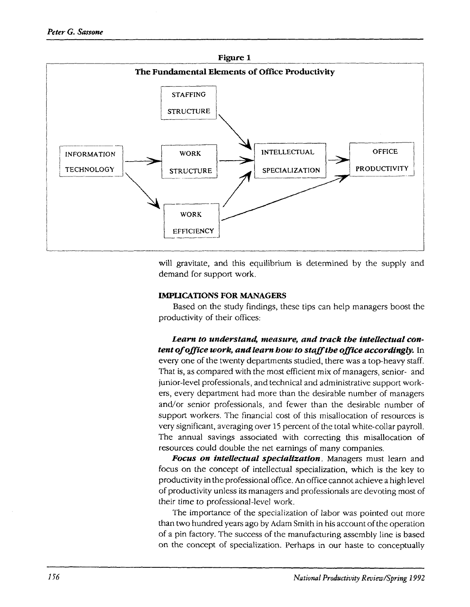

will gravitate, and this equilibrium is determined by the supply and demand for support work.

# **IMPLICATIONS FOR MANAGERS**

productivity of their offices: Based on the study findings, these tips can help managers boost the

*Learn to understand: measure, and track tbe intellectual content of oflice work, and learn bow to stafftbe office accordingly.* In every one of the twenty departments studied, there was a top-heavy staff. That is, as compared with the most efficient mix of managers, senior- and junior-level professionals, and technical and administrative support workers, every department had more than the desirable number of managers and/or senior professionals, and fewer than the desirable number of support workers. The financial cost of this misallocation of resources is very significant, averaging over 15 percent of the total white-collar payroll. The annual savings associated with correcting this misallocation of resources could double the net earnings of many companies.

*Focus on intellectual specialization.* Managers must learn and focus on the concept of intellectual specialization, which is the key to productivity in the professional office. An office cannot achieve a high level of productivity unless its managers and professionals are devoting most of their time to professional-level work.

The importance of the specialization of labor was pointed out more than two hundred years ago by Adam Smith in his account of the operation of a pin factory. The success of the manufacturing assembly line is based on the concept of specialization. Perhaps in our haste to conceptually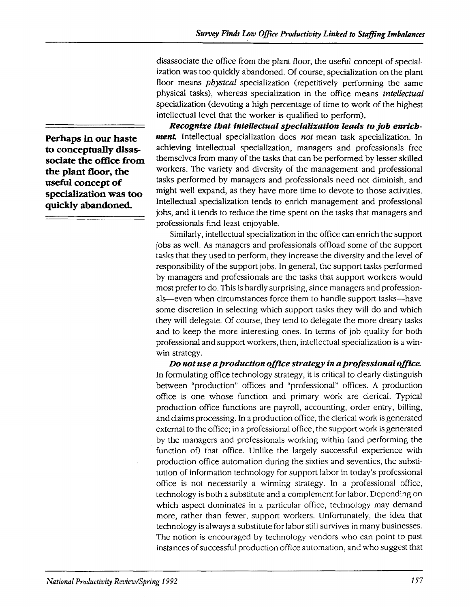disassociate the office from the plant floor, the useful concept of specialization was too quickly abandoned. Of course, specialization on the plant floor means *physical* specialization (repetitively performing the same physical tasks), whereas specialization in the office means *intellectual*  specialization (devoting a high percentage of time to work of the highest intellectual level that the worker is qualified to perform).

**Perhaps in our haste to conceptually disas**sociate the office from **the plant floor, the useful concept of specialization was too quickly abandoned.** 

*Recognixe that intellectual specialization leads to job enrichment.* Intellectual specialization does *not* mean task specialization. In achieving intellectual specialization, managers and professionals free themselves from many of the tasks that can be performed by lesser skilled workers. The variety and diversity of the management and professional tasks performed by managers and professionals need not diminish, and might well expand, as they have more time to devote to those activities. Intellectual specialization tends to enrich management and professional jobs, and it tends to reduce the time spent on the tasks that managers and professionals find least enjoyable.

Similarly, intellectual specialization in the office can enrich the support jobs as well. **As** managers and professionals offload some of the support tasks that they used to perform, they increase the diversity and the level of responsibility of the support jobs. In general, the support tasks performed by managers and professionals are the tasks that support workers would most prefer to do. This is hardly surprising, since managers and professionals-even when circumstances force them *to* handle support tasks-have some discretion in selecting which support tasks they will do and which they will delegate. Of course, they tend to delegate the more dreary tasks and to keep the more interesting ones. In terms of job quality for both professional and support workers, then, intellectual specialization is a winwin strategy.

*Do not use a production oflice strategy in a professional oflice.*  In formulating office technology strategy, it is critical to clearly distinguish between "production" offices and "professional" offices. **A** production office is one whose function and primary work are clerical. Typical production office functions are payroll, accounting, order entry, billing, and claims processing. In a production office, the clerical **work** is generated external to the office; in a professional office, the support work is generated by the managers and professionals working within (and performing the function of) that office. Unlike the largely successful experience with production office automation during the sixties and seventies, the substitution of information technology for support labor in today's professional office is not necessarily a winning strategy. In a professional office, technology is both a substitute and a complement for labor. Depending on which aspect dominates in a particular office, technology may demand more, rather than fewer, support workers. Unfortunately, the idea that technology is always a substitute for labor still survives in many businesses. The notion is encouraged by technology vendors who can point to past instances of successful production office automation, and who suggest that